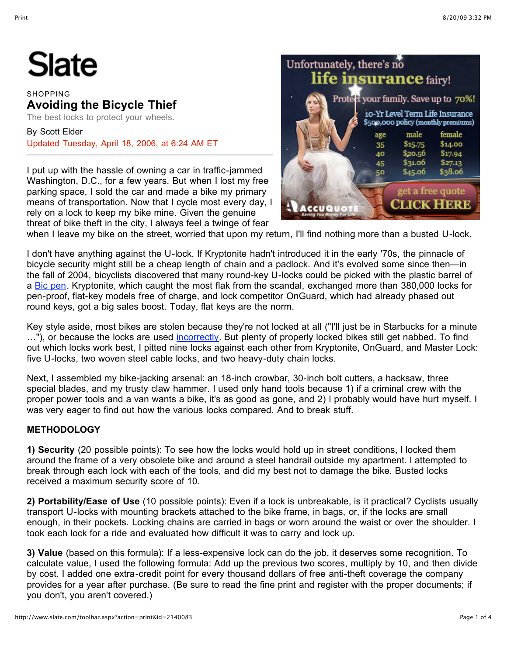# Slate

### **SHOPPING Avoiding the Bicycle Thief**

The best locks to protect your wheels.

By Scott Elder Updated Tuesday, April 18, 2006, at 6:24 AM ET

I put up with the hassle of owning a car in traffic-jammed Washington, D.C., for a few years. But when I lost my free parking space, I sold the car and made a bike my primary means of transportation. Now that I cycle most every day, I rely on a lock to keep my bike mine. Given the genuine threat of bike theft in the city, I always feel a twinge of fear



when I leave my bike on the street, worried that upon my return, I'll find nothing more than a busted U-lock.

I don't have anything against the U-lock. If Kryptonite hadn't introduced it in the early '70s, the pinnacle of bicycle security might still be a cheap length of chain and a padlock. And it's evolved some since then—in the fall of 2004, bicyclists discovered that many round-key U-locks could be picked with the plastic barrel of a [Bic pen](http://www.bikeforums.net/video/1.mov). Kryptonite, which caught the most flak from the scandal, exchanged more than 380,000 locks for pen-proof, flat-key models free of charge, and lock competitor OnGuard, which had already phased out round keys, got a big sales boost. Today, flat keys are the norm.

Key style aside, most bikes are stolen because they're not locked at all ("I'll just be in Starbucks for a minute ..."), or because the locks are used [incorrectly](http://www.sfbike.org/?theft_locking&PHPSESSID=6aa5421fdc22e46ed9585aeaa19b1f59). But plenty of properly locked bikes still get nabbed. To find out which locks work best, I pitted nine locks against each other from Kryptonite, OnGuard, and Master Lock: five U-locks, two woven steel cable locks, and two heavy-duty chain locks.

Next, I assembled my bike-jacking arsenal: an 18-inch crowbar, 30-inch bolt cutters, a hacksaw, three special blades, and my trusty claw hammer. I used only hand tools because 1) if a criminal crew with the proper power tools and a van wants a bike, it's as good as gone, and 2) I probably would have hurt myself. I was very eager to find out how the various locks compared. And to break stuff.

## **METHODOLOGY**

**1) Security** (20 possible points): To see how the locks would hold up in street conditions, I locked them around the frame of a very obsolete bike and around a steel handrail outside my apartment. I attempted to break through each lock with each of the tools, and did my best not to damage the bike. Busted locks received a maximum security score of 10.

**2) Portability/Ease of Use** (10 possible points): Even if a lock is unbreakable, is it practical? Cyclists usually transport U-locks with mounting brackets attached to the bike frame, in bags, or, if the locks are small enough, in their pockets. Locking chains are carried in bags or worn around the waist or over the shoulder. I took each lock for a ride and evaluated how difficult it was to carry and lock up.

**3) Value** (based on this formula): If a less-expensive lock can do the job, it deserves some recognition. To calculate value, I used the following formula: Add up the previous two scores, multiply by 10, and then divide by cost. I added one extra-credit point for every thousand dollars of free anti-theft coverage the company provides for a year after purchase. (Be sure to read the fine print and register with the proper documents; if you don't, you aren't covered.)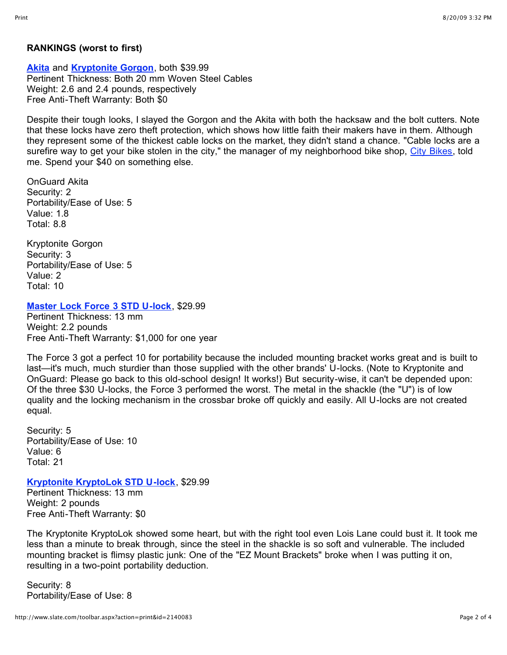#### **RANKINGS (worst to first)**

**[Akita](http://www.onguardlock.com/cables.html)** and **[Kryptonite Gorgon](http://www.kryptonitelock.com/inetisscripts/abtinetis.exe/PublicArticleDetails@public?artid=2708&atf=products_item&pgrp=20)**, both \$39.99 Pertinent Thickness: Both 20 mm Woven Steel Cables Weight: 2.6 and 2.4 pounds, respectively Free Anti-Theft Warranty: Both \$0

Despite their tough looks, I slayed the Gorgon and the Akita with both the hacksaw and the bolt cutters. Note that these locks have zero theft protection, which shows how little faith their makers have in them. Although they represent some of the thickest cable locks on the market, they didn't stand a chance. "Cable locks are a surefire way to get your bike stolen in the city," the manager of my neighborhood bike shop, [City Bikes,](http://citybikes.com/index.cfm) told me. Spend your \$40 on something else.

OnGuard Akita Security: 2 Portability/Ease of Use: 5 Value: 1.8 Total: 8.8

Kryptonite Gorgon Security: 3 Portability/Ease of Use: 5 Value: 2 Total: 10

**[Master Lock Force 3 STD U-lock](http://www.masterlockbike.com/masterlock.asp?section=bicycle&page=bike_ulocks&drill=force3)**, \$29.99

Pertinent Thickness: 13 mm Weight: 2.2 pounds Free Anti-Theft Warranty: \$1,000 for one year

The Force 3 got a perfect 10 for portability because the included mounting bracket works great and is built to last—it's much, much sturdier than those supplied with the other brands' U-locks. (Note to Kryptonite and OnGuard: Please go back to this old-school design! It works!) But security-wise, it can't be depended upon: Of the three \$30 U-locks, the Force 3 performed the worst. The metal in the shackle (the "U") is of low quality and the locking mechanism in the crossbar broke off quickly and easily. All U-locks are not created equal.

Security: 5 Portability/Ease of Use: 10 Value: 6 Total: 21

**[Kryptonite KryptoLok STD U-lock](http://www.kryptonitelock.com/inetisscripts/abtinetis.exe/PublicArticleDetails@public?artid=2785&atf=products_item&pgrp=20)**, \$29.99 Pertinent Thickness: 13 mm Weight: 2 pounds Free Anti-Theft Warranty: \$0

The Kryptonite KryptoLok showed some heart, but with the right tool even Lois Lane could bust it. It took me less than a minute to break through, since the steel in the shackle is so soft and vulnerable. The included mounting bracket is flimsy plastic junk: One of the "EZ Mount Brackets" broke when I was putting it on, resulting in a two-point portability deduction.

Security: 8 Portability/Ease of Use: 8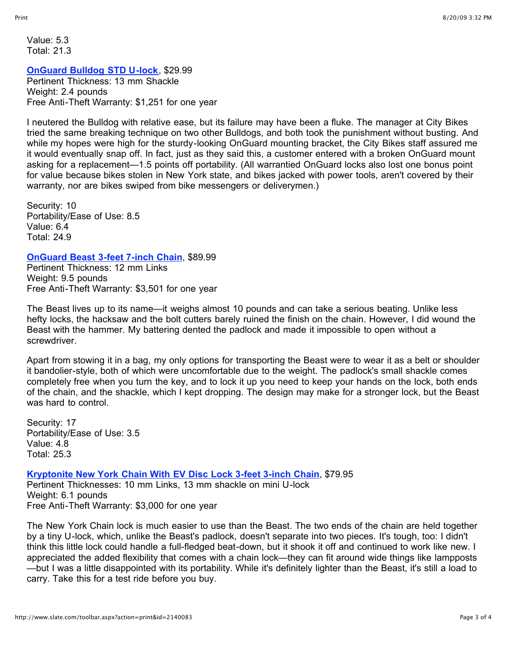Value: 5.3 Total: 21.3

#### **[OnGuard Bulldog STD U-lock](http://www.onguardlock.com/bulldog.html)**, \$29.99

Pertinent Thickness: 13 mm Shackle Weight: 2.4 pounds Free Anti-Theft Warranty: \$1,251 for one year

I neutered the Bulldog with relative ease, but its failure may have been a fluke. The manager at City Bikes tried the same breaking technique on two other Bulldogs, and both took the punishment without busting. And while my hopes were high for the sturdy-looking OnGuard mounting bracket, the City Bikes staff assured me it would eventually snap off. In fact, just as they said this, a customer entered with a broken OnGuard mount asking for a replacement—1.5 points off portability. (All warrantied OnGuard locks also lost one bonus point for value because bikes stolen in New York state, and bikes jacked with power tools, aren't covered by their warranty, nor are bikes swiped from bike messengers or deliverymen.)

Security: 10 Portability/Ease of Use: 8.5 Value: 6.4 Total: 24.9

#### **[OnGuard Beast 3-feet 7-inch Chain](http://www.onguardlock.com/beastchain.html)**, \$89.99

Pertinent Thickness: 12 mm Links Weight: 9.5 pounds Free Anti-Theft Warranty: \$3,501 for one year

The Beast lives up to its name—it weighs almost 10 pounds and can take a serious beating. Unlike less hefty locks, the hacksaw and the bolt cutters barely ruined the finish on the chain. However, I did wound the Beast with the hammer. My battering dented the padlock and made it impossible to open without a screwdriver.

Apart from stowing it in a bag, my only options for transporting the Beast were to wear it as a belt or shoulder it bandolier-style, both of which were uncomfortable due to the weight. The padlock's small shackle comes completely free when you turn the key, and to lock it up you need to keep your hands on the lock, both ends of the chain, and the shackle, which I kept dropping. The design may make for a stronger lock, but the Beast was hard to control

Security: 17 Portability/Ease of Use: 3.5 Value: 4.8 Total: 25.3

**[Kryptonite New York Chain With EV Disc Lock 3-feet 3-inch Chain](http://www.kryptonitelock.com/inetisscripts/abtinetis.exe/PublicArticleDetails@public?artid=2736&atf=products_item&pgrp=20)**, \$79.95

Pertinent Thicknesses: 10 mm Links, 13 mm shackle on mini U-lock Weight: 6.1 pounds Free Anti-Theft Warranty: \$3,000 for one year

The New York Chain lock is much easier to use than the Beast. The two ends of the chain are held together by a tiny U-lock, which, unlike the Beast's padlock, doesn't separate into two pieces. It's tough, too: I didn't think this little lock could handle a full-fledged beat-down, but it shook it off and continued to work like new. I appreciated the added flexibility that comes with a chain lock—they can fit around wide things like lampposts —but I was a little disappointed with its portability. While it's definitely lighter than the Beast, it's still a load to carry. Take this for a test ride before you buy.